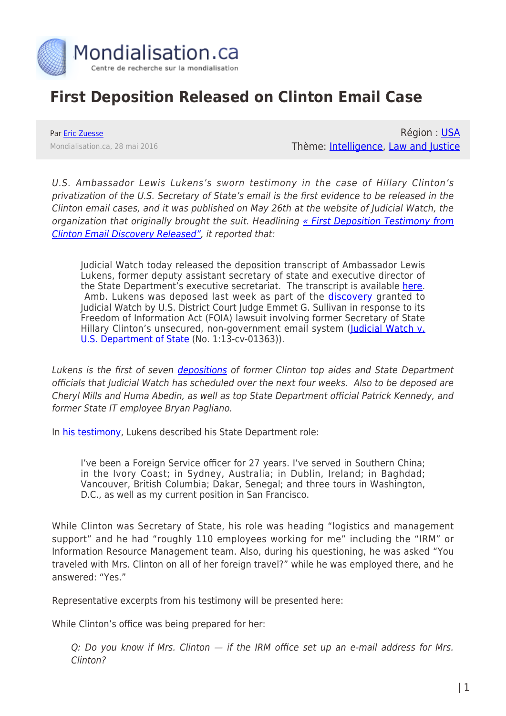

## **First Deposition Released on Clinton Email Case**

Par [Eric Zuesse](https://www.mondialisation.ca/author/eric-zuesse) Mondialisation.ca, 28 mai 2016

Région : [USA](https://www.mondialisation.ca/region/usa) Thème: [Intelligence,](https://www.mondialisation.ca/theme/intelligence) [Law and Justice](https://www.mondialisation.ca/theme/law-and-justice)

U.S. Ambassador Lewis Lukens's sworn testimony in the case of Hillary Clinton's privatization of the U.S. Secretary of State's email is the first evidence to be released in the Clinton email cases, and it was published on May 26th at the website of Judicial Watch, the organization that originally brought the suit. Headlining [« First Deposition Testimony from](http://www.judicialwatch.org/press-room/press-releases/first-deposition-testimony-clinton-email-discovery-released/) [Clinton Email Discovery Released"](http://www.judicialwatch.org/press-room/press-releases/first-deposition-testimony-clinton-email-discovery-released/), it reported that:

Judicial Watch today released the deposition transcript of Ambassador Lewis Lukens, former deputy assistant secretary of state and executive director of the State Department's executive secretariat. The transcript is available [here](http://www.judicialwatch.org/document-archive/jw-v-state-lukens-testimony-01363/). Amb. Lukens was deposed last week as part of the *[discovery](https://www.judicialwatch.org/press-room/press-releases/judicial-watch-federal-court-allows-discovery-to-begin-in-clinton-email-case/)* granted to Judicial Watch by U.S. District Court Judge Emmet G. Sullivan in response to its Freedom of Information Act (FOIA) lawsuit involving former Secretary of State Hillary Clinton's unsecured, non-government email system ([Judicial Watch v.](http://www.judicialwatch.org/document-archive/huma-employment/) [U.S. Department of State](http://www.judicialwatch.org/document-archive/huma-employment/) (No. 1:13-cv-01363)).

Lukens is the first of seven [depositions](https://www.judicialwatch.org/press-room/press-releases/judicial-watch-federal-court-allows-discovery-to-begin-in-clinton-email-case/) of former Clinton top aides and State Department officials that Judicial Watch has scheduled over the next four weeks. Also to be deposed are Cheryl Mills and Huma Abedin, as well as top State Department official Patrick Kennedy, and former State IT employee Bryan Pagliano.

In [his testimony](http://www.judicialwatch.org/document-archive/jw-v-state-lukens-testimony-01363/), Lukens described his State Department role:

I've been a Foreign Service officer for 27 years. I've served in Southern China; in the Ivory Coast; in Sydney, Australia; in Dublin, Ireland; in Baghdad; Vancouver, British Columbia; Dakar, Senegal; and three tours in Washington, D.C., as well as my current position in San Francisco.

While Clinton was Secretary of State, his role was heading "logistics and management support" and he had "roughly 110 employees working for me" including the "IRM" or Information Resource Management team. Also, during his questioning, he was asked "You traveled with Mrs. Clinton on all of her foreign travel?" while he was employed there, and he answered: "Yes."

Representative excerpts from his testimony will be presented here:

While Clinton's office was being prepared for her:

Q: Do you know if Mrs. Clinton — if the IRM office set up an e-mail address for Mrs. Clinton?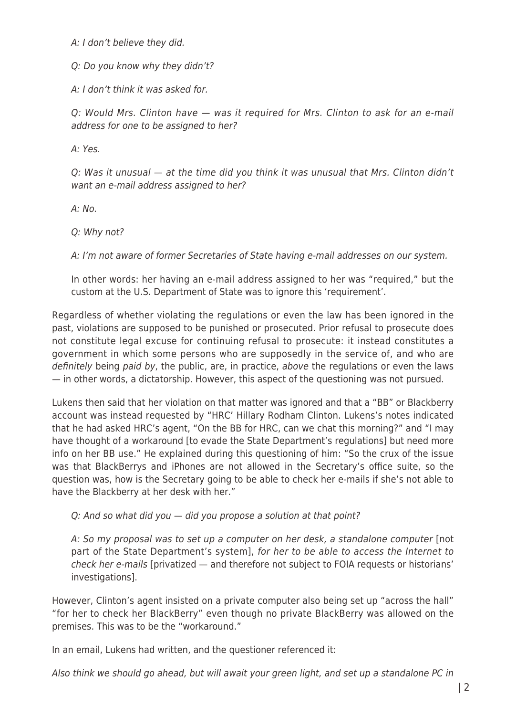A: I don't believe they did.

Q: Do you know why they didn't?

A: I don't think it was asked for.

Q: Would Mrs. Clinton have — was it required for Mrs. Clinton to ask for an e-mail address for one to be assigned to her?

A: Yes.

Q: Was it unusual — at the time did you think it was unusual that Mrs. Clinton didn't want an e-mail address assigned to her?

A: No.

Q: Why not?

A: I'm not aware of former Secretaries of State having e-mail addresses on our system.

In other words: her having an e-mail address assigned to her was "required," but the custom at the U.S. Department of State was to ignore this 'requirement'.

Regardless of whether violating the regulations or even the law has been ignored in the past, violations are supposed to be punished or prosecuted. Prior refusal to prosecute does not constitute legal excuse for continuing refusal to prosecute: it instead constitutes a government in which some persons who are supposedly in the service of, and who are definitely being paid by, the public, are, in practice, above the regulations or even the laws — in other words, a dictatorship. However, this aspect of the questioning was not pursued.

Lukens then said that her violation on that matter was ignored and that a "BB" or Blackberry account was instead requested by "HRC' Hillary Rodham Clinton. Lukens's notes indicated that he had asked HRC's agent, "On the BB for HRC, can we chat this morning?" and "I may have thought of a workaround [to evade the State Department's regulations] but need more info on her BB use." He explained during this questioning of him: "So the crux of the issue was that BlackBerrys and iPhones are not allowed in the Secretary's office suite, so the question was, how is the Secretary going to be able to check her e-mails if she's not able to have the Blackberry at her desk with her."

Q: And so what did you — did you propose a solution at that point?

A: So my proposal was to set up a computer on her desk, a standalone computer [not part of the State Department's system], for her to be able to access the Internet to check her e-mails [privatized — and therefore not subject to FOIA requests or historians' investigations].

However, Clinton's agent insisted on a private computer also being set up "across the hall" "for her to check her BlackBerry" even though no private BlackBerry was allowed on the premises. This was to be the "workaround."

In an email, Lukens had written, and the questioner referenced it:

Also think we should go ahead, but will await your green light, and set up a standalone PC in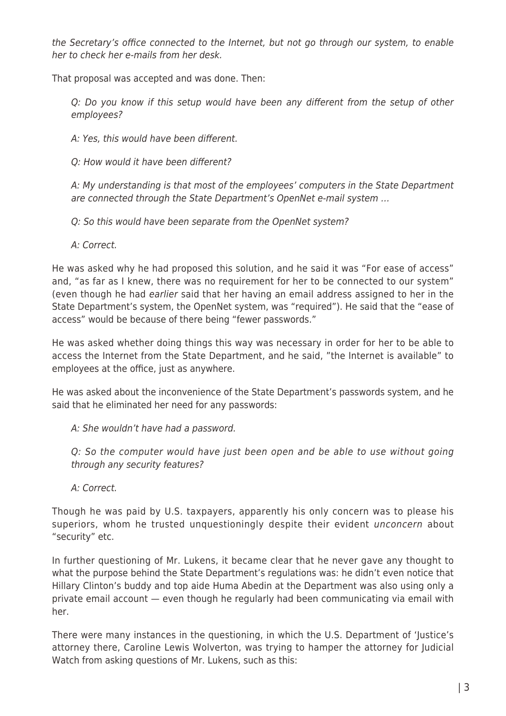the Secretary's office connected to the Internet, but not go through our system, to enable her to check her e-mails from her desk.

That proposal was accepted and was done. Then:

Q: Do you know if this setup would have been any different from the setup of other employees?

A: Yes, this would have been different.

Q: How would it have been different?

A: My understanding is that most of the employees' computers in the State Department are connected through the State Department's OpenNet e-mail system …

Q: So this would have been separate from the OpenNet system?

A: Correct.

He was asked why he had proposed this solution, and he said it was "For ease of access" and, "as far as I knew, there was no requirement for her to be connected to our system" (even though he had earlier said that her having an email address assigned to her in the State Department's system, the OpenNet system, was "required"). He said that the "ease of access" would be because of there being "fewer passwords."

He was asked whether doing things this way was necessary in order for her to be able to access the Internet from the State Department, and he said, "the Internet is available" to employees at the office, just as anywhere.

He was asked about the inconvenience of the State Department's passwords system, and he said that he eliminated her need for any passwords:

A: She wouldn't have had a password.

Q: So the computer would have just been open and be able to use without going through any security features?

A: Correct.

Though he was paid by U.S. taxpayers, apparently his only concern was to please his superiors, whom he trusted unquestioningly despite their evident *unconcern* about "security" etc.

In further questioning of Mr. Lukens, it became clear that he never gave any thought to what the purpose behind the State Department's regulations was: he didn't even notice that Hillary Clinton's buddy and top aide Huma Abedin at the Department was also using only a private email account — even though he regularly had been communicating via email with her.

There were many instances in the questioning, in which the U.S. Department of 'Justice's attorney there, Caroline Lewis Wolverton, was trying to hamper the attorney for Judicial Watch from asking questions of Mr. Lukens, such as this: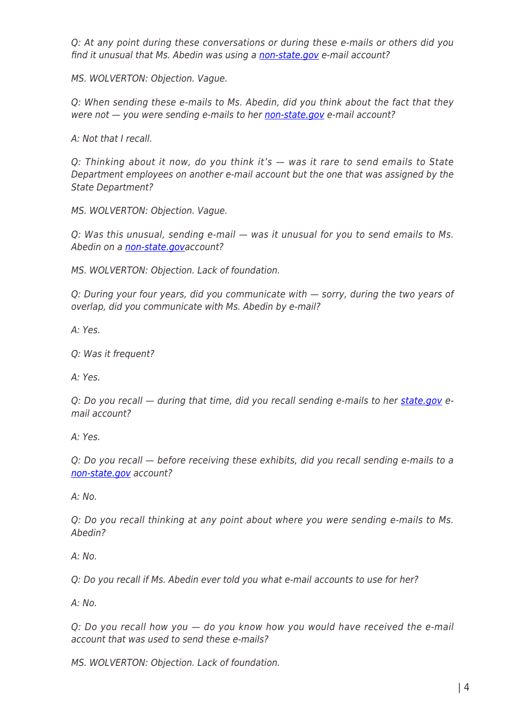Q: At any point during these conversations or during these e-mails or others did you find it unusual that Ms. Abedin was using a [non-state.gov](http://non-state.gov/) e-mail account?

MS. WOLVERTON: Objection. Vague.

Q: When sending these e-mails to Ms. Abedin, did you think about the fact that they were not  $-$  you were sending e-mails to her [non-state.gov](http://non-state.gov/) e-mail account?

A: Not that I recall.

Q: Thinking about it now, do you think it's — was it rare to send emails to State Department employees on another e-mail account but the one that was assigned by the State Department?

MS. WOLVERTON: Objection. Vague.

Q: Was this unusual, sending e-mail — was it unusual for you to send emails to Ms. Abedin on a [non-state.gova](http://non-state.gov/)ccount?

MS. WOLVERTON: Objection. Lack of foundation.

Q: During your four years, did you communicate with — sorry, during the two years of overlap, did you communicate with Ms. Abedin by e-mail?

A: Yes.

Q: Was it frequent?

A: Yes.

Q: Do you recall - during that time, did you recall sending e-mails to her [state.gov](http://state.gov/) email account?

A: Yes.

Q: Do you recall — before receiving these exhibits, did you recall sending e-mails to a [non-state.gov](http://non-state.gov/) account?

A: No.

Q: Do you recall thinking at any point about where you were sending e-mails to Ms. Abedin?

 $A: No.$ 

Q: Do you recall if Ms. Abedin ever told you what e-mail accounts to use for her?

 $A \cdot N_O$ 

Q: Do you recall how you — do you know how you would have received the e-mail account that was used to send these e-mails?

MS. WOLVERTON: Objection. Lack of foundation.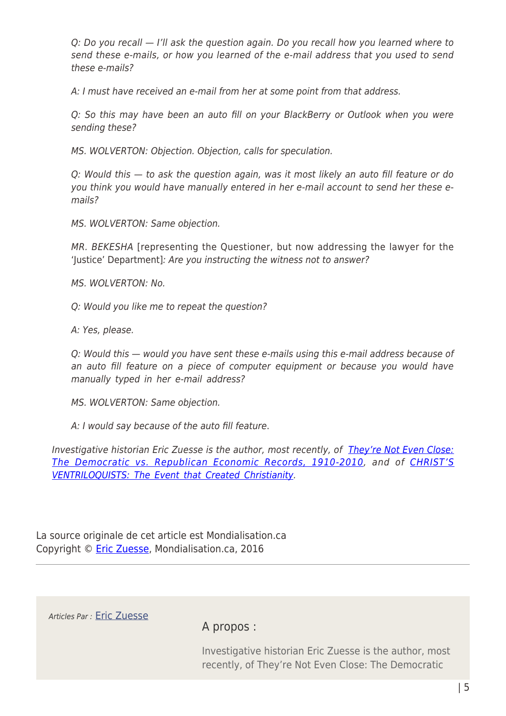Q: Do you recall — I'll ask the question again. Do you recall how you learned where to send these e-mails, or how you learned of the e-mail address that you used to send these e-mails?

A: I must have received an e-mail from her at some point from that address.

Q: So this may have been an auto fill on your BlackBerry or Outlook when you were sending these?

MS. WOLVERTON: Objection. Objection, calls for speculation.

Q: Would this — to ask the question again, was it most likely an auto fill feature or do you think you would have manually entered in her e-mail account to send her these emails?

MS. WOLVERTON: Same objection.

MR. BEKESHA [representing the Questioner, but now addressing the lawyer for the 'Justice' Department]: Are you instructing the witness not to answer?

MS. WOLVERTON: No.

Q: Would you like me to repeat the question?

A: Yes, please.

Q: Would this — would you have sent these e-mails using this e-mail address because of an auto fill feature on a piece of computer equipment or because you would have manually typed in her e-mail address?

MS. WOLVERTON: Same objection.

A: I would say because of the auto fill feature.

Investigative historian Eric Zuesse is the author, most recently, of [They're Not Even Close:](http://www.amazon.com/Theyre-Not-Even-Close-Democratic/dp/1880026090/ref=sr_1_9?ie=UTF8&qid=1339027537&sr=8-9) [The Democratic vs. Republican Economic Records, 1910-2010,](http://www.amazon.com/Theyre-Not-Even-Close-Democratic/dp/1880026090/ref=sr_1_9?ie=UTF8&qid=1339027537&sr=8-9) and of [CHRIST'S](http://www.amazon.com/dp/B007Q1H4EG) [VENTRILOQUISTS: The Event that Created Christianity](http://www.amazon.com/dp/B007Q1H4EG).

La source originale de cet article est Mondialisation.ca Copyright © [Eric Zuesse](https://www.mondialisation.ca/author/eric-zuesse), Mondialisation.ca, 2016

Articles Par : [Eric Zuesse](https://www.mondialisation.ca/author/eric-zuesse)

A propos :

Investigative historian Eric Zuesse is the author, most recently, of They're Not Even Close: The Democratic